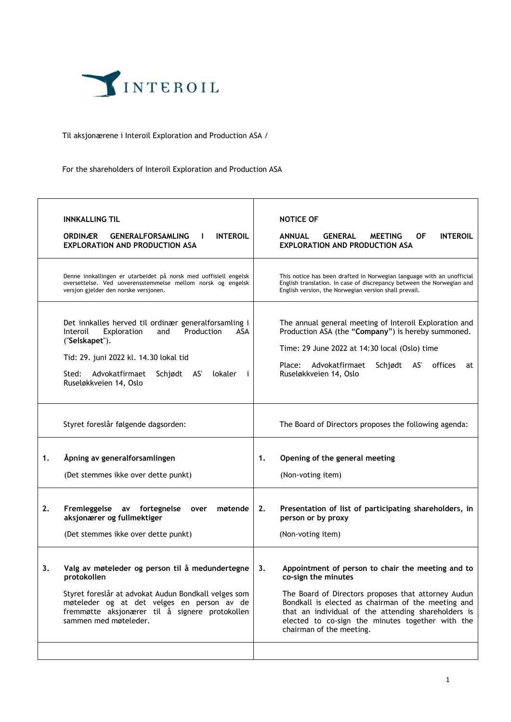

## Til aksjonærene i Interoil Exploration and Production ASA /

For the shareholders of Interoil Exploration and Production ASA

|    | <b>INNKALLING TIL</b><br><b>ORDINÆR</b><br><b>GENERALFORSAMLING</b><br><b>INTEROIL</b><br>л.<br><b>EXPLORATION AND PRODUCTION ASA</b>                                                                                                                    |    | <b>NOTICE OF</b><br><b>ANNUAL</b><br><b>GENERAL</b><br>ΟF<br><b>INTEROIL</b><br><b>MEETING</b><br><b>EXPLORATION AND PRODUCTION ASA</b>                                                                                                                                                                                      |
|----|----------------------------------------------------------------------------------------------------------------------------------------------------------------------------------------------------------------------------------------------------------|----|------------------------------------------------------------------------------------------------------------------------------------------------------------------------------------------------------------------------------------------------------------------------------------------------------------------------------|
|    | Denne innkallingen er utarbeidet på norsk med uoffisiell engelsk<br>oversettelse. Ved uoverensstemmelse mellom norsk og engelsk<br>versjon gjelder den norske versjonen.                                                                                 |    | This notice has been drafted in Norwegian language with an unofficial<br>English translation. In case of discrepancy between the Norwegian and<br>English version, the Norwegian version shall prevail.                                                                                                                      |
|    | Det innkalles herved til ordinær generalforsamling i<br>Production<br>Exploration<br>and<br>ASA<br>Interoil<br>("Selskapet").<br>Tid: 29. juni 2022 kl. 14.30 lokal tid<br>Sted: Advokatfirmaet<br>Schjødt AS'<br>lokaler<br>i<br>Ruseløkkveien 14, Oslo |    | The annual general meeting of Interoil Exploration and<br>Production ASA (the "Company") is hereby summoned.<br>Time: 29 June 2022 at 14:30 local (Oslo) time<br>Advokatfirmaet<br>Schjødt<br>AS'<br>offices<br>Place:<br>at<br>Ruseløkkveien 14, Oslo                                                                       |
|    | Styret foreslår følgende dagsorden:                                                                                                                                                                                                                      |    | The Board of Directors proposes the following agenda:                                                                                                                                                                                                                                                                        |
| 1. | Åpning av generalforsamlingen<br>(Det stemmes ikke over dette punkt)                                                                                                                                                                                     | 1. | Opening of the general meeting<br>(Non-voting item)                                                                                                                                                                                                                                                                          |
| 2. | Fremleggelse<br>av fortegnelse<br>møtende<br>over<br>aksjonærer og fullmektiger<br>(Det stemmes ikke over dette punkt)                                                                                                                                   | 2. | Presentation of list of participating shareholders, in<br>person or by proxy<br>(Non-voting item)                                                                                                                                                                                                                            |
| 3. | Valg av møteleder og person til å medundertegne<br>protokollen<br>Styret foreslår at advokat Audun Bondkall velges som<br>møteleder og at det velges en person av de<br>fremmøtte aksjonærer til å signere protokollen<br>sammen med møteleder.          | 3. | Appointment of person to chair the meeting and to<br>co-sign the minutes<br>The Board of Directors proposes that attorney Audun<br>Bondkall is elected as chairman of the meeting and<br>that an individual of the attending shareholders is<br>elected to co-sign the minutes together with the<br>chairman of the meeting. |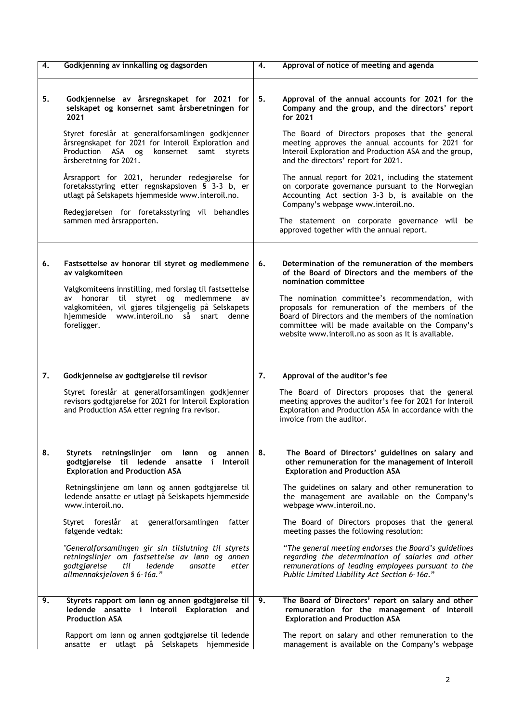| 4. | Godkjenning av innkalling og dagsorden                                                                                                                                                                                                                                                                                                                                                                                                                                                                                                                   | 4. | Approval of notice of meeting and agenda                                                                                                                                                                                                                                                                                                                                                                                                                                                                                                                                                                                        |
|----|----------------------------------------------------------------------------------------------------------------------------------------------------------------------------------------------------------------------------------------------------------------------------------------------------------------------------------------------------------------------------------------------------------------------------------------------------------------------------------------------------------------------------------------------------------|----|---------------------------------------------------------------------------------------------------------------------------------------------------------------------------------------------------------------------------------------------------------------------------------------------------------------------------------------------------------------------------------------------------------------------------------------------------------------------------------------------------------------------------------------------------------------------------------------------------------------------------------|
| 5. | Godkjennelse av årsregnskapet for 2021 for<br>selskapet og konsernet samt årsberetningen for<br>2021<br>Styret foreslår at generalforsamlingen godkjenner<br>årsregnskapet for 2021 for Interoil Exploration and<br>Production ASA<br>og<br>konsernet<br>samt<br>styrets<br>årsberetning for 2021.<br>Årsrapport for 2021, herunder redegjørelse for<br>foretaksstyring etter regnskapsloven § 3-3 b, er<br>utlagt på Selskapets hjemmeside www.interoil.no.<br>Redegjørelsen for foretaksstyring vil behandles<br>sammen med årsrapporten.              | 5. | Approval of the annual accounts for 2021 for the<br>Company and the group, and the directors' report<br>for 2021<br>The Board of Directors proposes that the general<br>meeting approves the annual accounts for 2021 for<br>Interoil Exploration and Production ASA and the group,<br>and the directors' report for 2021.<br>The annual report for 2021, including the statement<br>on corporate governance pursuant to the Norwegian<br>Accounting Act section 3-3 b, is available on the<br>Company's webpage www.interoil.no.<br>The statement on corporate governance will be<br>approved together with the annual report. |
| 6. | Fastsettelse av honorar til styret og medlemmene<br>av valgkomiteen<br>Valgkomiteens innstilling, med forslag til fastsettelse<br>styret og medlemmene<br>honorar<br>til<br>av<br>av<br>valgkomitéen, vil gjøres tilgjengelig på Selskapets<br>www.interoil.no så<br>hjemmeside<br>snart<br>denne<br>foreligger.                                                                                                                                                                                                                                         | 6. | Determination of the remuneration of the members<br>of the Board of Directors and the members of the<br>nomination committee<br>The nomination committee's recommendation, with<br>proposals for remuneration of the members of the<br>Board of Directors and the members of the nomination<br>committee will be made available on the Company's<br>website www.interoil.no as soon as it is available.                                                                                                                                                                                                                         |
|    |                                                                                                                                                                                                                                                                                                                                                                                                                                                                                                                                                          |    |                                                                                                                                                                                                                                                                                                                                                                                                                                                                                                                                                                                                                                 |
| 7. | Godkjennelse av godtgjørelse til revisor<br>Styret foreslår at generalforsamlingen godkjenner<br>revisors godtgjørelse for 2021 for Interoil Exploration<br>and Production ASA etter regning fra revisor.                                                                                                                                                                                                                                                                                                                                                | 7. | Approval of the auditor's fee<br>The Board of Directors proposes that the general<br>meeting approves the auditor's fee for 2021 for Interoil<br>Exploration and Production ASA in accordance with the<br>invoice from the auditor.                                                                                                                                                                                                                                                                                                                                                                                             |
| 8. | Styrets retningslinjer om<br>lønn<br>og<br>annen<br>godtgjørelse til ledende ansatte i<br>Interoil<br><b>Exploration and Production ASA</b><br>Retningslinjene om lønn og annen godtgjørelse til<br>ledende ansatte er utlagt på Selskapets hjemmeside<br>www.interoil.no.<br>generalforsamlingen<br>Styret foreslår<br>at<br>fatter<br>følgende vedtak:<br>"Generalforsamlingen gir sin tilslutning til styrets<br>retningslinjer om fastsettelse av lønn og annen<br>godtgjørelse<br>til<br>ledende<br>ansatte<br>etter<br>allmennaksjeloven § 6-16a." | 8. | The Board of Directors' guidelines on salary and<br>other remuneration for the management of Interoil<br><b>Exploration and Production ASA</b><br>The guidelines on salary and other remuneration to<br>the management are available on the Company's<br>webpage www.interoil.no.<br>The Board of Directors proposes that the general<br>meeting passes the following resolution:<br>"The general meeting endorses the Board's guidelines<br>regarding the determination of salaries and other<br>remunerations of leading employees pursuant to the<br>Public Limited Liability Act Section 6-16a."                            |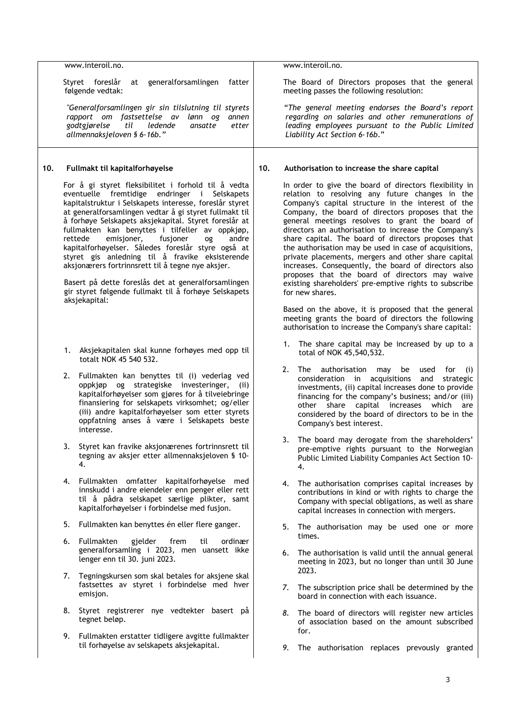|     |    | www.interoil.no.                                                                                                                                                                                                                                                                                                                                                                                                                                                                                                                                                                                                                                                                        |     | www.interoil.no.                                                                                                                                                                                                                                                                                                                                                                                                                                                                                                                                                                                                                                                                               |
|-----|----|-----------------------------------------------------------------------------------------------------------------------------------------------------------------------------------------------------------------------------------------------------------------------------------------------------------------------------------------------------------------------------------------------------------------------------------------------------------------------------------------------------------------------------------------------------------------------------------------------------------------------------------------------------------------------------------------|-----|------------------------------------------------------------------------------------------------------------------------------------------------------------------------------------------------------------------------------------------------------------------------------------------------------------------------------------------------------------------------------------------------------------------------------------------------------------------------------------------------------------------------------------------------------------------------------------------------------------------------------------------------------------------------------------------------|
|     |    | Styret foreslår<br>generalforsamlingen<br>at<br>fatter<br>følgende vedtak:                                                                                                                                                                                                                                                                                                                                                                                                                                                                                                                                                                                                              |     | The Board of Directors proposes that the general<br>meeting passes the following resolution:                                                                                                                                                                                                                                                                                                                                                                                                                                                                                                                                                                                                   |
|     |    | "Generalforsamlingen gir sin tilslutning til styrets<br>rapport om fastsettelse av lønn og<br>annen<br>godtgjørelse<br>til<br>ledende<br>ansatte<br>etter<br>allmennaksjeloven § 6-16b."                                                                                                                                                                                                                                                                                                                                                                                                                                                                                                |     | "The general meeting endorses the Board's report<br>regarding on salaries and other remunerations of<br>leading employees pursuant to the Public Limited<br>Liability Act Section 6-16b."                                                                                                                                                                                                                                                                                                                                                                                                                                                                                                      |
| 10. |    | Fullmakt til kapitalforhøyelse                                                                                                                                                                                                                                                                                                                                                                                                                                                                                                                                                                                                                                                          | 10. | Authorisation to increase the share capital                                                                                                                                                                                                                                                                                                                                                                                                                                                                                                                                                                                                                                                    |
|     |    | For å gi styret fleksibilitet i forhold til å vedta<br>eventuelle fremtidige endringer i Selskapets<br>kapitalstruktur i Selskapets interesse, foreslår styret<br>at generalforsamlingen vedtar å gi styret fullmakt til<br>å forhøye Selskapets aksjekapital. Styret foreslår at<br>fullmakten kan benyttes i tilfeller av oppkjøp,<br>rettede<br>emisjoner,<br>fusjoner<br>andre<br>0g<br>kapitalforhøyelser. Således foreslår styre også at<br>styret gis anledning til å fravike eksisterende<br>aksjonærers fortrinnsrett til å tegne nye aksjer.<br>Basert på dette foreslås det at generalforsamlingen<br>gir styret følgende fullmakt til å forhøye Selskapets<br>aksjekapital: |     | In order to give the board of directors flexibility in<br>relation to resolving any future changes in the<br>Company's capital structure in the interest of the<br>Company, the board of directors proposes that the<br>general meetings resolves to grant the board of<br>directors an authorisation to increase the Company's<br>share capital. The board of directors proposes that<br>the authorisation may be used in case of acquisitions,<br>private placements, mergers and other share capital<br>increases. Consequently, the board of directors also<br>proposes that the board of directors may waive<br>existing shareholders' pre-emptive rights to subscribe<br>for new shares. |
|     |    |                                                                                                                                                                                                                                                                                                                                                                                                                                                                                                                                                                                                                                                                                         |     | Based on the above, it is proposed that the general<br>meeting grants the board of directors the following<br>authorisation to increase the Company's share capital:                                                                                                                                                                                                                                                                                                                                                                                                                                                                                                                           |
|     |    | 1. Aksjekapitalen skal kunne forhøyes med opp til<br>totalt NOK 45 540 532.                                                                                                                                                                                                                                                                                                                                                                                                                                                                                                                                                                                                             |     | The share capital may be increased by up to a<br>1.<br>total of NOK 45,540,532.                                                                                                                                                                                                                                                                                                                                                                                                                                                                                                                                                                                                                |
|     | 2. | Fullmakten kan benyttes til (i) vederlag ved<br>oppkjøp og strategiske investeringer,<br>(ii)<br>kapitalforhøyelser som gjøres for å tilveiebringe<br>finansiering for selskapets virksomhet; og/eller<br>(iii) andre kapitalforhøyelser som etter styrets<br>oppfatning anses å være i Selskapets beste<br>interesse.                                                                                                                                                                                                                                                                                                                                                                  |     | 2.<br>The<br>authorisation<br>may<br>be<br>used for<br>(i)<br>acquisitions<br>consideration in<br>and<br>strategic<br>investments, (ii) capital increases done to provide<br>financing for the company's business; and/or (iii)<br>other share capital increases<br>which<br>are<br>considered by the board of directors to be in the<br>Company's best interest.                                                                                                                                                                                                                                                                                                                              |
|     | 3. | Styret kan fravike aksjonærenes fortrinnsrett til<br>tegning av aksjer etter allmennaksjeloven § 10-<br>4.                                                                                                                                                                                                                                                                                                                                                                                                                                                                                                                                                                              |     | 3.<br>The board may derogate from the shareholders'<br>pre-emptive rights pursuant to the Norwegian<br>Public Limited Liability Companies Act Section 10-<br>4.                                                                                                                                                                                                                                                                                                                                                                                                                                                                                                                                |
|     | 4. | Fullmakten omfatter kapitalforhøyelse med<br>innskudd i andre eiendeler enn penger eller rett<br>til å pådra selskapet særlige plikter, samt<br>kapitalforhøyelser i forbindelse med fusjon.                                                                                                                                                                                                                                                                                                                                                                                                                                                                                            |     | The authorisation comprises capital increases by<br>4.<br>contributions in kind or with rights to charge the<br>Company with special obligations, as well as share<br>capital increases in connection with mergers.                                                                                                                                                                                                                                                                                                                                                                                                                                                                            |
|     | 5. | Fullmakten kan benyttes én eller flere ganger.                                                                                                                                                                                                                                                                                                                                                                                                                                                                                                                                                                                                                                          |     | 5.<br>The authorisation may be used one or more                                                                                                                                                                                                                                                                                                                                                                                                                                                                                                                                                                                                                                                |
|     | 6. | Fullmakten<br>gjelder<br>ordinær<br>frem<br>til<br>generalforsamling i 2023, men uansett ikke<br>lenger enn til 30. juni 2023.                                                                                                                                                                                                                                                                                                                                                                                                                                                                                                                                                          |     | times.<br>The authorisation is valid until the annual general<br>6.<br>meeting in 2023, but no longer than until 30 June                                                                                                                                                                                                                                                                                                                                                                                                                                                                                                                                                                       |
|     | 7. | Tegningskursen som skal betales for aksjene skal<br>fastsettes av styret i forbindelse med hver<br>emisjon.                                                                                                                                                                                                                                                                                                                                                                                                                                                                                                                                                                             |     | 2023.<br>The subscription price shall be determined by the<br>7.<br>board in connection with each issuance.                                                                                                                                                                                                                                                                                                                                                                                                                                                                                                                                                                                    |
|     | 8. | Styret registrerer nye vedtekter basert på<br>tegnet beløp.                                                                                                                                                                                                                                                                                                                                                                                                                                                                                                                                                                                                                             |     | The board of directors will register new articles<br>8.<br>of association based on the amount subscribed                                                                                                                                                                                                                                                                                                                                                                                                                                                                                                                                                                                       |
|     | 9. | Fullmakten erstatter tidligere avgitte fullmakter<br>til forhøyelse av selskapets aksjekapital.                                                                                                                                                                                                                                                                                                                                                                                                                                                                                                                                                                                         |     | for.<br>The authorisation replaces prevously granted<br>9.                                                                                                                                                                                                                                                                                                                                                                                                                                                                                                                                                                                                                                     |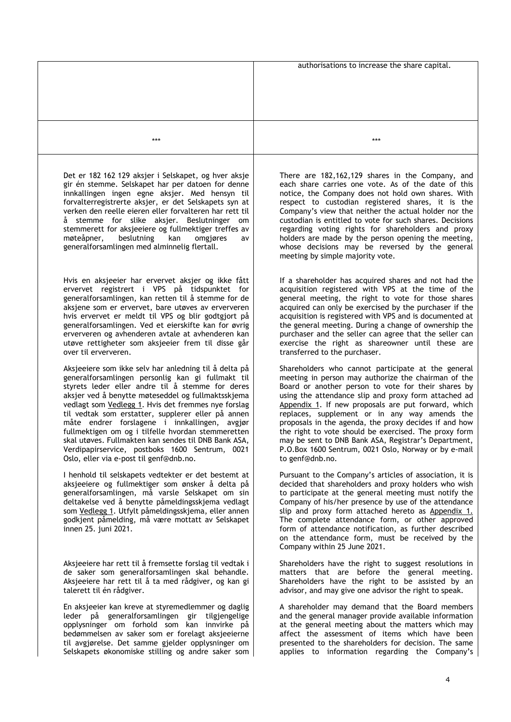|                                                                                                                                                                                                                                                                                                                                                                                                                                                                                                                                                                                               | authorisations to increase the share capital.                                                                                                                                                                                                                                                                                                                                                                                                                                                                                                                                         |
|-----------------------------------------------------------------------------------------------------------------------------------------------------------------------------------------------------------------------------------------------------------------------------------------------------------------------------------------------------------------------------------------------------------------------------------------------------------------------------------------------------------------------------------------------------------------------------------------------|---------------------------------------------------------------------------------------------------------------------------------------------------------------------------------------------------------------------------------------------------------------------------------------------------------------------------------------------------------------------------------------------------------------------------------------------------------------------------------------------------------------------------------------------------------------------------------------|
|                                                                                                                                                                                                                                                                                                                                                                                                                                                                                                                                                                                               |                                                                                                                                                                                                                                                                                                                                                                                                                                                                                                                                                                                       |
| ***                                                                                                                                                                                                                                                                                                                                                                                                                                                                                                                                                                                           | ***                                                                                                                                                                                                                                                                                                                                                                                                                                                                                                                                                                                   |
| Det er 182 162 129 aksjer i Selskapet, og hver aksje<br>gir én stemme. Selskapet har per datoen for denne<br>innkallingen ingen egne aksjer. Med hensyn til<br>forvalterregistrerte aksjer, er det Selskapets syn at<br>verken den reelle eieren eller forvalteren har rett til<br>stemme for slike aksjer. Beslutninger<br>å.<br>om<br>stemmerett for aksjeeiere og fullmektiger treffes av<br>møteåpner,<br>beslutning<br>kan<br>omgjøres<br>a٧<br>generalforsamlingen med alminnelig flertall.                                                                                             | There are 182,162,129 shares in the Company, and<br>each share carries one vote. As of the date of this<br>notice, the Company does not hold own shares. With<br>respect to custodian registered shares, it is the<br>Company's view that neither the actual holder nor the<br>custodian is entitled to vote for such shares. Decisions<br>regarding voting rights for shareholders and proxy<br>holders are made by the person opening the meeting,<br>whose decisions may be reversed by the general<br>meeting by simple majority vote.                                            |
| Hvis en aksjeeier har ervervet aksjer og ikke fått<br>ervervet registrert i VPS på tidspunktet for<br>generalforsamlingen, kan retten til å stemme for de<br>aksjene som er ervervet, bare utøves av erververen<br>hvis ervervet er meldt til VPS og blir godtgjort på<br>generalforsamlingen. Ved et eierskifte kan for øvrig<br>erververen og avhenderen avtale at avhenderen kan<br>utøve rettigheter som aksjeeier frem til disse går<br>over til erververen.                                                                                                                             | If a shareholder has acquired shares and not had the<br>acquisition registered with VPS at the time of the<br>general meeting, the right to vote for those shares<br>acquired can only be exercised by the purchaser if the<br>acquisition is registered with VPS and is documented at<br>the general meeting. During a change of ownership the<br>purchaser and the seller can agree that the seller can<br>exercise the right as shareowner until these are<br>transferred to the purchaser.                                                                                        |
| Aksjeeiere som ikke selv har anledning til å delta på<br>generalforsamlingen personlig kan gi fullmakt til<br>styrets leder eller andre til å stemme for deres<br>aksjer ved å benytte møteseddel og fullmaktsskjema<br>vedlagt som Vedlegg 1. Hvis det fremmes nye forslag<br>til vedtak som erstatter, supplerer eller på annen<br>måte endrer forslagene i innkallingen, avgjør<br>fullmektigen om og i tilfelle hvordan stemmeretten<br>skal utøves. Fullmakten kan sendes til DNB Bank ASA,<br>Verdipapirservice, postboks 1600 Sentrum, 0021<br>Oslo, eller via e-post til genf@dnb.no. | Shareholders who cannot participate at the general<br>meeting in person may authorize the chairman of the<br>Board or another person to vote for their shares by<br>using the attendance slip and proxy form attached ad<br>Appendix 1. If new proposals are put forward, which<br>replaces, supplement or in any way amends the<br>proposals in the agenda, the proxy decides if and how<br>the right to vote should be exercised. The proxy form<br>may be sent to DNB Bank ASA, Registrar's Department,<br>P.O.Box 1600 Sentrum, 0021 Oslo, Norway or by e-mail<br>to genf@dnb.no. |
| I henhold til selskapets vedtekter er det bestemt at<br>aksjeeiere og fullmektiger som ønsker å delta på<br>generalforsamlingen, må varsle Selskapet om sin<br>deltakelse ved å benytte påmeldingsskjema vedlagt<br>som Vedlegg 1. Utfylt påmeldingsskjema, eller annen<br>godkjent påmelding, må være mottatt av Selskapet<br>innen 25. juni 2021.                                                                                                                                                                                                                                           | Pursuant to the Company's articles of association, it is<br>decided that shareholders and proxy holders who wish<br>to participate at the general meeting must notify the<br>Company of his/her presence by use of the attendance<br>slip and proxy form attached hereto as Appendix 1.<br>The complete attendance form, or other approved<br>form of attendance notification, as further described<br>on the attendance form, must be received by the<br>Company within 25 June 2021.                                                                                                |
| Aksjeeiere har rett til å fremsette forslag til vedtak i<br>de saker som generalforsamlingen skal behandle.<br>Aksjeeiere har rett til å ta med rådgiver, og kan gi<br>talerett til én rådgiver.                                                                                                                                                                                                                                                                                                                                                                                              | Shareholders have the right to suggest resolutions in<br>matters that are before the general meeting.<br>Shareholders have the right to be assisted by an<br>advisor, and may give one advisor the right to speak.                                                                                                                                                                                                                                                                                                                                                                    |
| En aksjeeier kan kreve at styremedlemmer og daglig<br>leder på generalforsamlingen gir tilgjengelige<br>opplysninger om forhold som kan innvirke på<br>bedømmelsen av saker som er forelagt aksjeeierne<br>til avgjørelse. Det samme gjelder opplysninger om<br>Selskapets økonomiske stilling og andre saker som                                                                                                                                                                                                                                                                             | A shareholder may demand that the Board members<br>and the general manager provide available information<br>at the general meeting about the matters which may<br>affect the assessment of items which have been<br>presented to the shareholders for decision. The same<br>applies to information regarding the Company's                                                                                                                                                                                                                                                            |